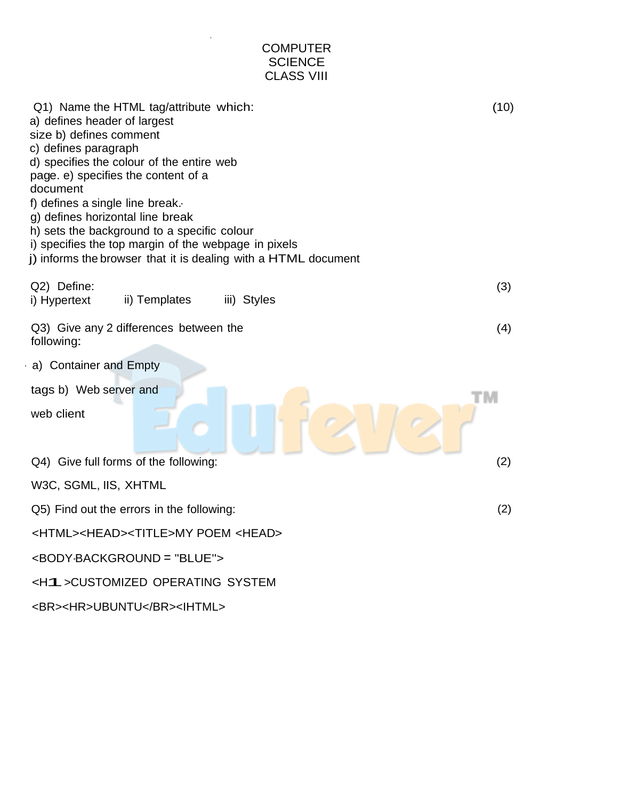| <b>COMPUTER</b><br><b>SCIENCE</b><br><b>CLASS VIII</b>                                                                                                                                                                                                                                                                                                                                                                                                                    |      |
|---------------------------------------------------------------------------------------------------------------------------------------------------------------------------------------------------------------------------------------------------------------------------------------------------------------------------------------------------------------------------------------------------------------------------------------------------------------------------|------|
| Q1) Name the HTML tag/attribute which:<br>a) defines header of largest<br>size b) defines comment<br>c) defines paragraph<br>d) specifies the colour of the entire web<br>page. e) specifies the content of a<br>document<br>f) defines a single line break.<br>g) defines horizontal line break<br>h) sets the background to a specific colour<br>i) specifies the top margin of the webpage in pixels<br>j) informs the browser that it is dealing with a HTML document | (10) |
| Q2) Define:<br>ii) Templates<br>iii) Styles<br>i) Hypertext                                                                                                                                                                                                                                                                                                                                                                                                               | (3)  |
| Q3) Give any 2 differences between the<br>following:                                                                                                                                                                                                                                                                                                                                                                                                                      | (4)  |
| a) Container and Empty                                                                                                                                                                                                                                                                                                                                                                                                                                                    |      |
| tags b) Web server and                                                                                                                                                                                                                                                                                                                                                                                                                                                    |      |
| web client                                                                                                                                                                                                                                                                                                                                                                                                                                                                |      |
| Q4) Give full forms of the following:                                                                                                                                                                                                                                                                                                                                                                                                                                     | (2)  |
| W3C, SGML, IIS, XHTML                                                                                                                                                                                                                                                                                                                                                                                                                                                     |      |
| Q5) Find out the errors in the following:                                                                                                                                                                                                                                                                                                                                                                                                                                 | (2)  |
| <html><head><title>MY POEM <head></head></title></head></html>                                                                                                                                                                                                                                                                                                                                                                                                            |      |
| <body-background "blue"="" ==""></body-background>                                                                                                                                                                                                                                                                                                                                                                                                                        |      |
| <h1> CUSTOMIZED OPERATING SYSTEM</h1>                                                                                                                                                                                                                                                                                                                                                                                                                                     |      |
|                                                                                                                                                                                                                                                                                                                                                                                                                                                                           |      |

. SUMMATIVE ASSESSMENT

<BR><HR>UBUNTU</BR><IHTML>